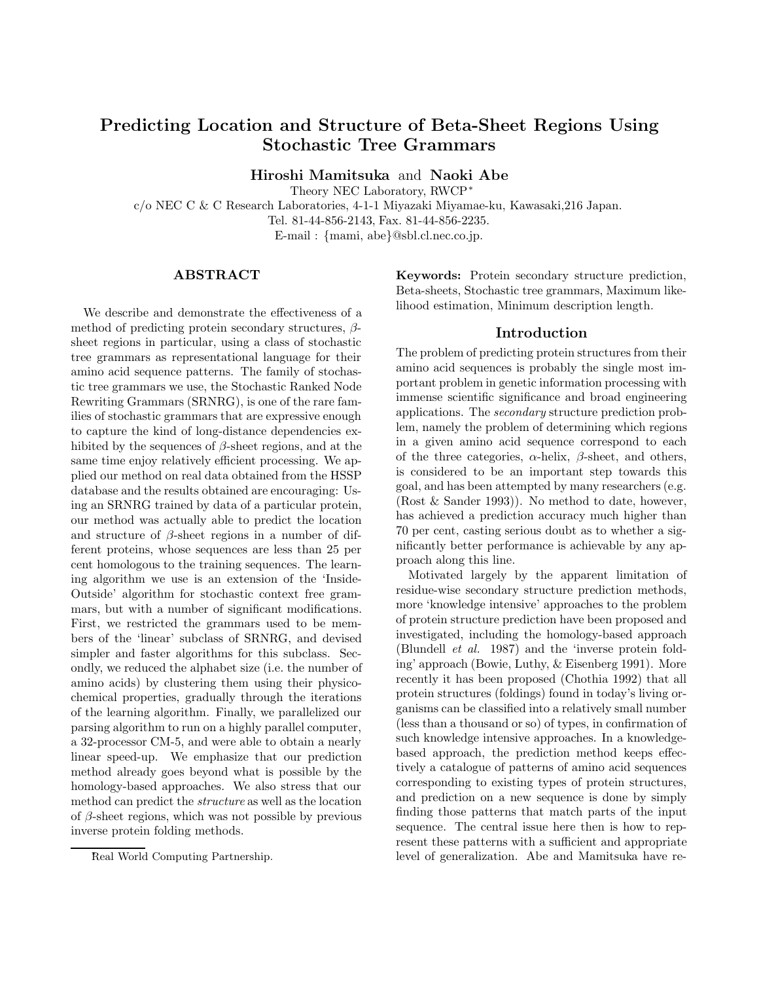# Predicting Location and Structure of Beta-Sheet Regions Using Stochastic Tree Grammars

Hiroshi Mamitsuka and Naoki Abe

Theory NEC Laboratory, RWCP<sup>∗</sup>

c/o NEC C & C Research Laboratories, 4-1-1 Miyazaki Miyamae-ku, Kawasaki,216 Japan.

Tel. 81-44-856-2143, Fax. 81-44-856-2235.

E-mail : {mami, abe}@sbl.cl.nec.co.jp.

### **ABSTRACT**

We describe and demonstrate the effectiveness of a method of predicting protein secondary structures,  $\beta$ sheet regions in particular, using a class of stochastic tree grammars as representational language for their amino acid sequence patterns. The family of stochastic tree grammars we use, the Stochastic Ranked Node Rewriting Grammars (SRNRG), is one of the rare families of stochastic grammars that are expressive enough to capture the kind of long-distance dependencies exhibited by the sequences of  $\beta$ -sheet regions, and at the same time enjoy relatively efficient processing. We applied our method on real data obtained from the HSSP database and the results obtained are encouraging: Using an SRNRG trained by data of a particular protein, our method was actually able to predict the location and structure of  $\beta$ -sheet regions in a number of different proteins, whose sequences are less than 25 per cent homologous to the training sequences. The learning algorithm we use is an extension of the 'Inside-Outside' algorithm for stochastic context free grammars, but with a number of significant modifications. First, we restricted the grammars used to be members of the 'linear' subclass of SRNRG, and devised simpler and faster algorithms for this subclass. Secondly, we reduced the alphabet size (i.e. the number of amino acids) by clustering them using their physicochemical properties, gradually through the iterations of the learning algorithm. Finally, we parallelized our parsing algorithm to run on a highly parallel computer, a 32-processor CM-5, and were able to obtain a nearly linear speed-up. We emphasize that our prediction method already goes beyond what is possible by the homology-based approaches. We also stress that our method can predict the structure as well as the location of  $\beta$ -sheet regions, which was not possible by previous inverse protein folding methods.

Keywords: Protein secondary structure prediction, Beta-sheets, Stochastic tree grammars, Maximum likelihood estimation, Minimum description length.

#### Introduction

The problem of predicting protein structures from their amino acid sequences is probably the single most important problem in genetic information processing with immense scientific significance and broad engineering applications. The secondary structure prediction problem, namely the problem of determining which regions in a given amino acid sequence correspond to each of the three categories,  $\alpha$ -helix,  $\beta$ -sheet, and others, is considered to be an important step towards this goal, and has been attempted by many researchers(e.g. (Rost & Sander 1993)). No method to date, however, has achieved a prediction accuracy much higher than 70 per cent, casting serious doubt as to whether a significantly better performance is achievable by any approach along this line.

Motivated largely by the apparent limitation of residue-wise secondary structure prediction methods, more 'knowledge intensive' approaches to the problem of protein structure prediction have been proposed and investigated, including the homology-based approach (Blundell et al. 1987) and the 'inverse protein folding' approach (Bowie, Luthy, & Eisenberg 1991). More recently it has been proposed (Chothia 1992) that all protein structures (foldings) found in today's living organisms can be classified into a relatively small number (less than a thousand or so) of types, in confirmation of such knowledge intensive approaches. In a knowledgebased approach, the prediction method keeps effectively a catalogue of patterns of amino acid sequences corresponding to existing types of protein structures, and prediction on a new sequence is done by simply finding those patterns that match parts of the input sequence. The central issue here then is how to represent these patterns with a sufficient and appropriate level of generalization. Abe and Mamitsuka have re-

<sup>∗</sup>Real World Computing Partnership.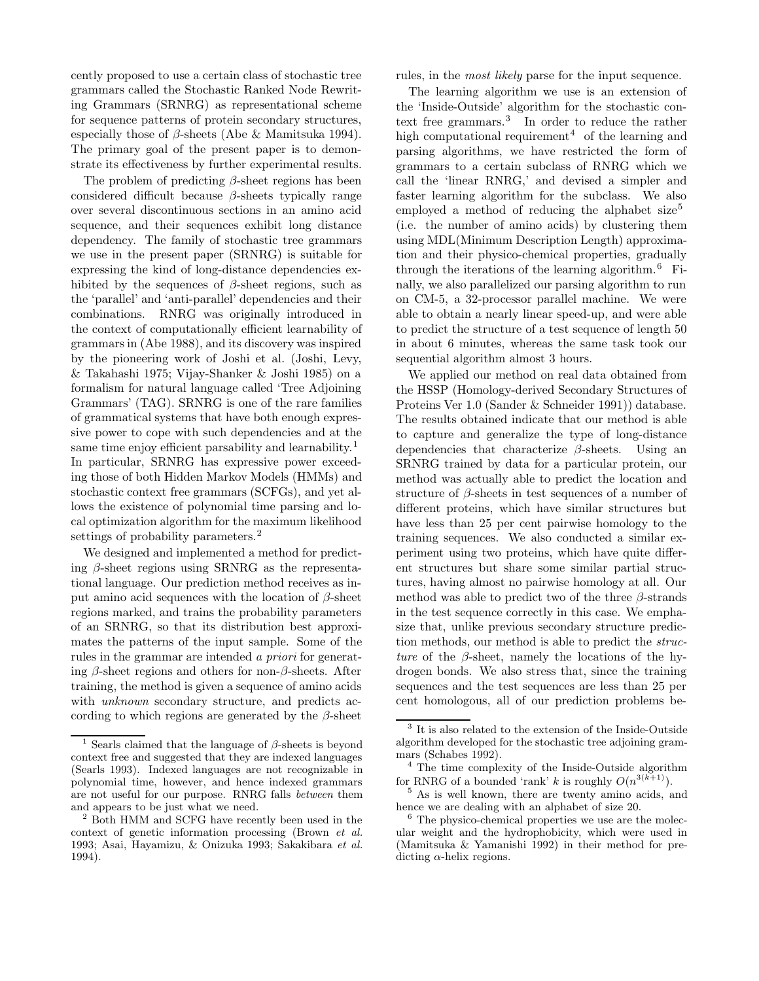cently proposed to use a certain class of stochastic tree grammars called the Stochastic Ranked Node Rewriting Grammars (SRNRG) as representational scheme for sequence patterns of protein secondary structures, especially those of  $\beta$ -sheets (Abe & Mamitsuka 1994). The primary goal of the present paper is to demonstrate its effectiveness by further experimental results.

The problem of predicting  $\beta$ -sheet regions has been considered difficult because  $\beta$ -sheets typically range over several discontinuous sections in an amino acid sequence, and their sequences exhibit long distance dependency. The family of stochastic tree grammars we use in the present paper (SRNRG) is suitable for expressing the kind of long-distance dependencies exhibited by the sequences of  $\beta$ -sheet regions, such as the 'parallel' and 'anti-parallel' dependencies and their combinations. RNRG was originally introduced in the context of computationally efficient learnability of grammars in (Abe 1988), and its discovery was inspired by the pioneering work of Joshi et al. (Joshi, Levy, & Takahashi 1975; Vijay-Shanker & Joshi 1985) on a formalism for natural language called 'Tree Adjoining Grammars' (TAG). SRNRG is one of the rare families of grammatical systems that have both enough expressive power to cope with such dependencies and at the same time enjoy efficient parsability and learnability.<sup>1</sup> In particular, SRNRG has expressive power exceeding those of both Hidden Markov Models (HMMs) and stochastic context free grammars (SCFGs), and yet allows the existence of polynomial time parsing and local optimization algorithm for the maximum likelihood settings of probability parameters.<sup>2</sup>

We designed and implemented a method for predicting  $\beta$ -sheet regions using SRNRG as the representational language. Our prediction method receives as input amino acid sequences with the location of  $\beta$ -sheet regions marked, and trains the probability parameters of an SRNRG, so that its distribution best approximates the patterns of the input sample. Some of the rules in the grammar are intended a priori for generating  $\beta$ -sheet regions and others for non- $\beta$ -sheets. After training, the method is given a sequence of amino acids with *unknown* secondary structure, and predicts according to which regions are generated by the  $\beta$ -sheet

rules, in the *most likely* parse for the input sequence.

The learning algorithm we use is an extension of the 'Inside-Outside' algorithm for the stochastic context free grammars.<sup>3</sup> In order to reduce the rather high computational requirement<sup>4</sup> of the learning and parsing algorithms, we have restricted the form of grammars to a certain subclass of RNRG which we call the 'linear RNRG,' and devised a simpler and faster learning algorithm for the subclass. We also employed a method of reducing the alphabet size<sup>5</sup> (i.e. the number of amino acids) by clustering them using MDL(Minimum Description Length) approximation and their physico-chemical properties, gradually through the iterations of the learning algorithm.<sup>6</sup> Finally, we also parallelized our parsing algorithm to run on CM-5, a 32-processor parallel machine. We were able to obtain a nearly linear speed-up, and were able to predict the structure of a test sequence of length 50 in about 6 minutes, whereas the same task took our sequential algorithm almost 3 hours.

We applied our method on real data obtained from the HSSP (Homology-derived Secondary Structures of Proteins Ver 1.0 (Sander & Schneider 1991)) database. The results obtained indicate that our method is able to capture and generalize the type of long-distance dependencies that characterize  $\beta$ -sheets. Using an SRNRG trained by data for a particular protein, our method was actually able to predict the location and structure of  $\beta$ -sheets in test sequences of a number of different proteins, which have similar structures but have less than 25 per cent pairwise homology to the training sequences. We also conducted a similar experiment using two proteins, which have quite different structures but share some similar partial structures, having almost no pairwise homology at all. Our method was able to predict two of the three  $\beta$ -strands in the test sequence correctly in this case. We emphasize that, unlike previous secondary structure prediction methods, our method is able to predict the structure of the  $\beta$ -sheet, namely the locations of the hydrogen bonds. We also stress that, since the training sequences and the test sequences are less than 25 per cent homologous, all of our prediction problems be-

<sup>&</sup>lt;sup>1</sup> Searls claimed that the language of  $\beta$ -sheets is beyond context free and suggested that they are indexed languages (Searls 1993). Indexed languages are not recognizable in polynomial time, however, and hence indexed grammars are not useful for our purpose. RNRG falls between them and appears to be just what we need.

<sup>2</sup> Both HMM and SCFG have recently been used in the context of genetic information processing (Brown et al. 1993; Asai, Hayamizu, & Onizuka 1993; Sakakibara et al. 1994).

<sup>3</sup> It is also related to the extension of the Inside-Outside algorithm developed for the stochastic tree adjoining grammars (Schabes 1992).

<sup>4</sup> The time complexity of the Inside-Outside algorithm for RNRG of a bounded 'rank' k is roughly  $O(n^{3(k+1)})$ .

<sup>&</sup>lt;sup>5</sup> As is well known, there are twenty amino acids, and hence we are dealing with an alphabet of size 20.

<sup>&</sup>lt;sup>6</sup> The physico-chemical properties we use are the molecular weight and the hydrophobicity, which were used in (Mamitsuka & Yamanishi 1992) in their method for predicting  $\alpha$ -helix regions.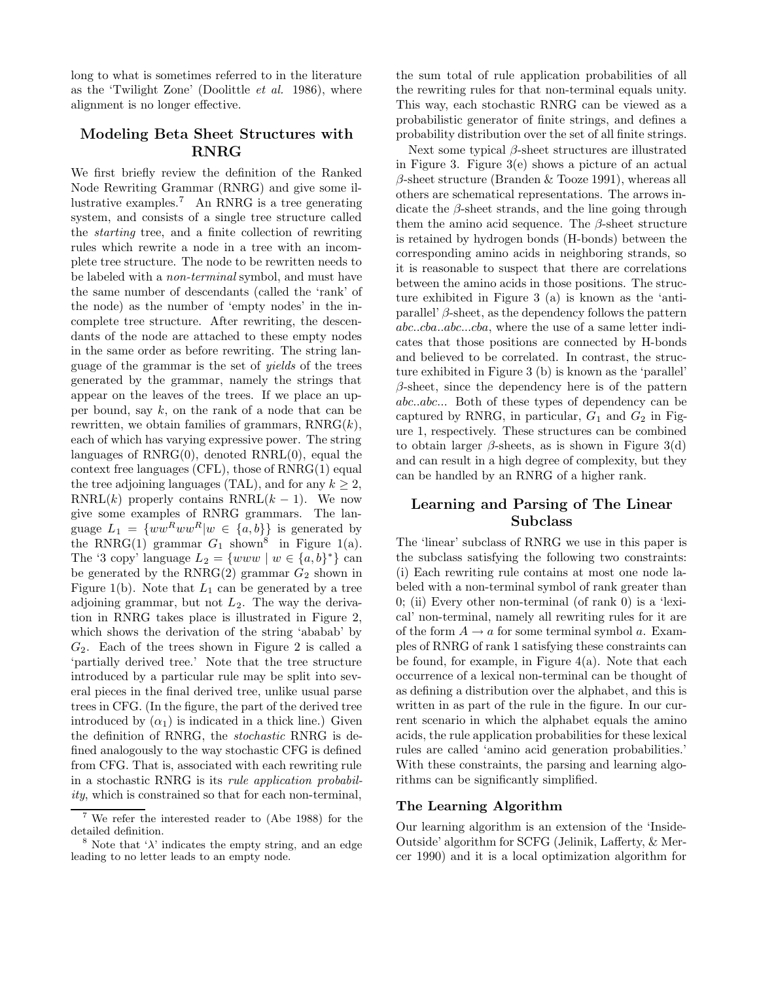long to what is sometimes referred to in the literature as the 'Twilight Zone' (Doolittle et al. 1986), where alignment is no longer effective.

## Modeling Beta Sheet Structures with RNRG

We first briefly review the definition of the Ranked Node Rewriting Grammar (RNRG) and give some illustrative examples.<sup>7</sup> An RNRG is a tree generating system, and consists of a single tree structure called the starting tree, and a finite collection of rewriting rules which rewrite a node in a tree with an incomplete tree structure. The node to be rewritten needs to be labeled with a non-terminal symbol, and must have the same number of descendants (called the 'rank' of the node) as the number of 'empty nodes' in the incomplete tree structure. After rewriting, the descendants of the node are attached to these empty nodes in the same order as before rewriting. The string language of the grammar is the set of yields of the trees generated by the grammar, namely the strings that appear on the leaves of the trees. If we place an upper bound, say  $k$ , on the rank of a node that can be rewritten, we obtain families of grammars,  $\text{RNRG}(k)$ , each of which has varying expressive power. The string languages of  $RNRG(0)$ , denoted  $RNRL(0)$ , equal the context free languages (CFL), those of RNRG(1) equal the tree adjoining languages (TAL), and for any  $k \geq 2$ , RNRL(k) properly contains  $\text{RNRL}(k-1)$ . We now give some examples of RNRG grammars. The language  $L_1 = \{ww^Rww^R|w \in \{a,b\}\}\$ is generated by the RNRG(1) grammar  $G_1$  shown<sup>8</sup> in Figure 1(a). The '3 copy' language  $L_2 = \{www \mid w \in \{a, b\}^*\}$  can be generated by the RNRG(2) grammar  $G_2$  shown in Figure 1(b). Note that  $L_1$  can be generated by a tree adjoining grammar, but not  $L_2$ . The way the derivation in RNRG takes place is illustrated in Figure 2, which shows the derivation of the string 'ababab' by  $G_2$ . Each of the trees shown in Figure 2 is called a 'partially derived tree.' Note that the tree structure introduced by a particular rule may be split into several pieces in the final derived tree, unlike usual parse trees in CFG. (In the figure, the part of the derived tree introduced by  $(\alpha_1)$  is indicated in a thick line.) Given the definition of RNRG, the stochastic RNRG is defined analogously to the way stochastic CFG is defined from CFG. That is, associated with each rewriting rule in a stochastic RNRG is its rule application probability, which is constrained so that for each non-terminal,

the sum total of rule application probabilities of all the rewriting rules for that non-terminal equals unity. This way, each stochastic RNRG can be viewed as a probabilistic generator of finite strings, and defines a probability distribution over the set of all finite strings.

Next some typical β-sheet structures are illustrated in Figure 3. Figure 3(e) shows a picture of an actual  $\beta$ -sheet structure (Branden & Tooze 1991), whereas all others are schematical representations. The arrows indicate the  $\beta$ -sheet strands, and the line going through them the amino acid sequence. The  $\beta$ -sheet structure is retained by hydrogen bonds (H-bonds) between the corresponding amino acids in neighboring strands, so it is reasonable to suspect that there are correlations between the amino acids in those positions. The structure exhibited in Figure 3 (a) is known as the 'antiparallel'  $\beta$ -sheet, as the dependency follows the pattern abc..cba..abc...cba, where the use of a same letter indicates that those positions are connected by H-bonds and believed to be correlated. In contrast, the structure exhibited in Figure 3 (b) is known as the 'parallel'  $\beta$ -sheet, since the dependency here is of the pattern abc..abc... Both of these types of dependency can be captured by RNRG, in particular,  $G_1$  and  $G_2$  in Figure 1, respectively. These structures can be combined to obtain larger  $\beta$ -sheets, as is shown in Figure 3(d) and can result in a high degree of complexity, but they can be handled by an RNRG of a higher rank.

## Learning and Parsing of The Linear Subclass

The 'linear' subclass of RNRG we use in this paper is the subclass satisfying the following two constraints: (i) Each rewriting rule contains at most one node labeled with a non-terminal symbol of rank greater than 0; (ii) Every other non-terminal (of rank 0) is a 'lexical' non-terminal, namely all rewriting rules for it are of the form  $A \to a$  for some terminal symbol a. Examples of RNRG of rank 1 satisfying these constraints can be found, for example, in Figure  $4(a)$ . Note that each occurrence of a lexical non-terminal can be thought of as defining a distribution over the alphabet, and this is written in as part of the rule in the figure. In our current scenario in which the alphabet equals the amino acids, the rule application probabilities for these lexical rules are called 'amino acid generation probabilities.' With these constraints, the parsing and learning algorithms can be significantly simplified.

#### The Learning Algorithm

Our learning algorithm is an extension of the 'Inside-Outside' algorithm for SCFG (Jelinik, Lafferty, & Mercer 1990) and it is a local optimization algorithm for

We refer the interested reader to (Abe 1988) for the detailed definition.

<sup>&</sup>lt;sup>8</sup> Note that  $\lambda$ ' indicates the empty string, and an edge leading to no letter leads to an empty node.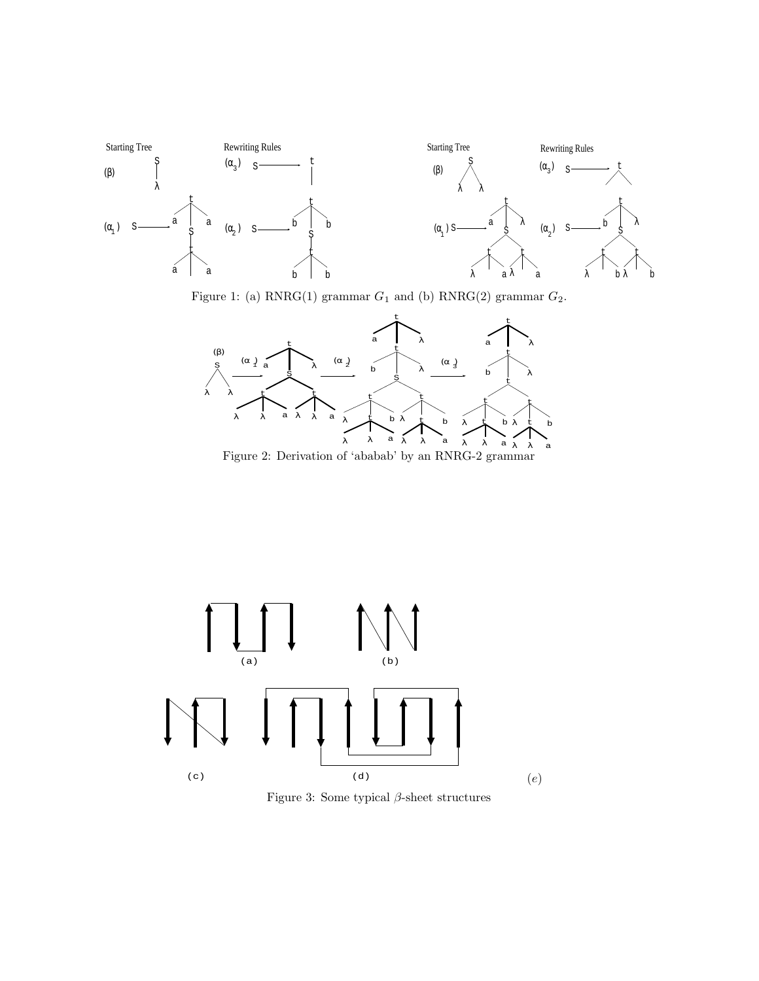

Figure 1: (a) RNRG(1) grammar  $G_1$  and (b) RNRG(2) grammar  $G_2$ .



Figure 2: Derivation of 'ababab' by an RNRG-2 grammar



Figure 3: Some typical  $\beta\text{-sheet structures}$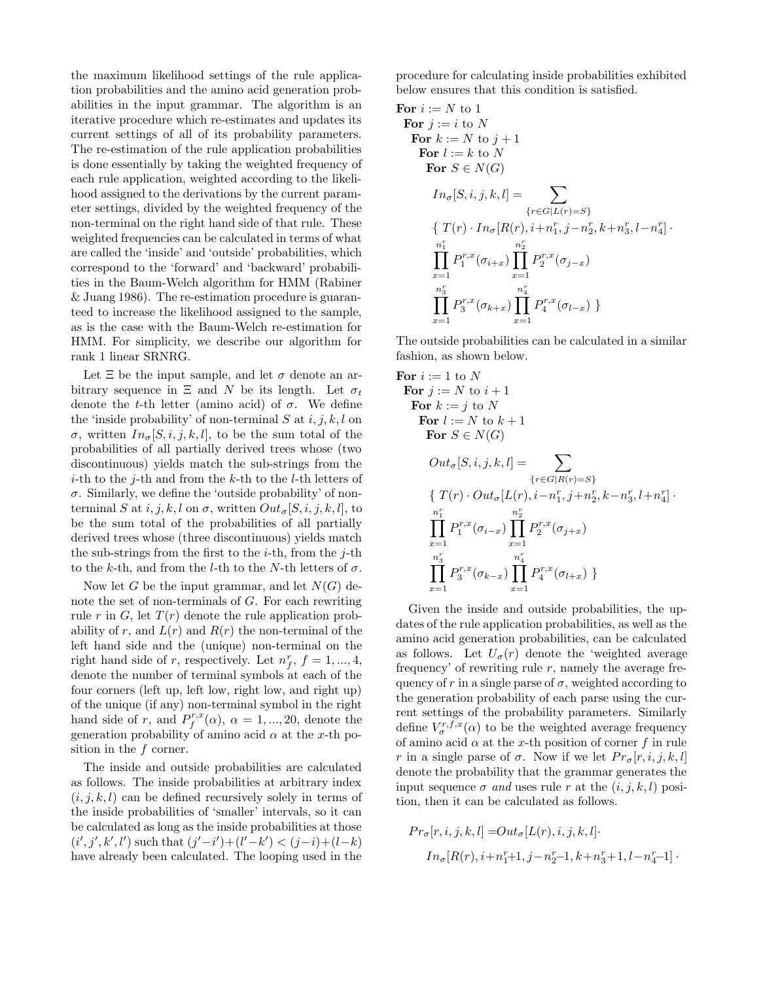the maximum likelihood settings of the rule application probabilities and the amino acid generation probabilities in the input grammar. The algorithm is an iterative procedure which re-estimates and updates its current settings of all of its probability parameters. The re-estimation of the rule application probabilities is done essentially by taking the weighted frequency of each rule application, weighted according to the likelihood assigned to the derivations by the current parameter settings, divided by the weighted frequency of the non-terminal on the right hand side of that rule. These weighted frequencies can be calculated in terms of what are called the 'inside' and 'outside' probabilities, which correspond to the 'forward' and 'backward' probabilities in the Baum-Welch algorithm for HMM (Rabiner & Juang 1986). The re-estimation procedure is guaranteed to increase the likelihood assigned to the sample, as is the case with the Baum-Welch re-estimation for HMM. For simplicity, we describe our algorithm for rank 1 linear SRNRG.

Let  $\Xi$  be the input sample, and let  $\sigma$  denote an arbitrary sequence in  $\Xi$  and N be its length. Let  $\sigma_t$ denote the t-th letter (amino acid) of  $\sigma$ . We define the 'inside probability' of non-terminal  $S$  at  $i, j, k, l$  on σ, written  $In_{\sigma}[S, i, j, k, l]$ , to be the sum total of the probabilities of all partially derived trees whose (two discontinuous) yields match the sub-strings from the *i*-th to the *j*-th and from the *k*-th to the *l*-th letters of  $\sigma$ . Similarly, we define the 'outside probability' of nonterminal S at  $i, j, k, l$  on  $\sigma$ , written  $Out_{\sigma}[S, i, j, k, l]$ , to be the sum total of the probabilities of all partially derived trees whose (three discontinuous) yields match the sub-strings from the first to the *i*-th, from the *j*-th to the k-th, and from the l-th to the N-th letters of  $\sigma$ .

Now let G be the input grammar, and let  $N(G)$  denote the set of non-terminals of G. For each rewriting rule r in G, let  $T(r)$  denote the rule application probability of r, and  $L(r)$  and  $R(r)$  the non-terminal of the left hand side and the (unique) non-terminal on the right hand side of r, respectively. Let  $n_f^r$ ,  $f = 1, ..., 4$ , denote the number of terminal symbols at each of the four corners (left up, left low, right low, and right up) of the unique (if any) non-terminal symbol in the right hand side of r, and  $P_f^{r,x}(\alpha)$ ,  $\alpha = 1, ..., 20$ , denote the generation probability of amino acid  $\alpha$  at the x-th position in the  $f$  corner.

The inside and outside probabilities are calculated as follows. The inside probabilities at arbitrary index  $(i, j, k, l)$  can be defined recursively solely in terms of the inside probabilities of 'smaller' intervals, so it can be calculated as long as the inside probabilities at those  $(i', j', k', l')$  such that  $(j'-i') + (l'-k') < (j-i) + (l-k)$ have already been calculated. The looping used in the

procedure for calculating inside probabilities exhibited below ensures that this condition is satisfied.

For 
$$
i := N
$$
 to 1  
\nFor  $j := i$  to N  
\nFor  $k := N$  to  $j + 1$   
\nFor  $l := k$  to N  
\nFor  $S \in N(G)$   
\n
$$
In_{\sigma}[S, i, j, k, l] = \sum_{\{r \in G | L(r) = S\}} \{T(r) \cdot In_{\sigma}[R(r), i + n_1^r, j - n_2^r, k + n_3^r, l - n_4^r] \cdot \prod_{x=1}^{n_1^r} P_1^{r, x}(\sigma_{i+x}) \prod_{x=1}^{n_2^r} P_2^{r, x}(\sigma_{j-x})
$$
\n
$$
\prod_{x=1}^{n_3^r} P_3^{r, x}(\sigma_{k+x}) \prod_{x=1}^{n_4^r} P_4^{r, x}(\sigma_{l-x}) \}
$$

The outside probabilities can be calculated in a similar fashion, as shown below.

For 
$$
i := 1
$$
 to N  
\nFor  $j := N$  to  $i + 1$   
\nFor  $k := j$  to N  
\nFor  $l := N$  to  $k + 1$   
\nFor  $S \in N(G)$   
\n
$$
Out_{\sigma}[S, i, j, k, l] = \sum_{\{r \in G[R(r) = S\}} \{ T(r) \cdot Out_{\sigma}[L(r), i - n_1^r, j + n_2^r, k - n_3^r, l + n_4^r] \cdot \prod_{x=1}^{n_1^r} P_1^{r,x}(\sigma_{i-x}) \prod_{x=1}^{n_2^r} P_2^{r,x}(\sigma_{j+x})
$$
\n
$$
\prod_{x=1}^{n_3^r} P_3^{r,x}(\sigma_{k-x}) \prod_{x=1}^{n_4^r} P_4^{r,x}(\sigma_{l+x}) \}
$$

Given the inside and outside probabilities, the updates of the rule application probabilities, as well as the amino acid generation probabilities, can be calculated as follows. Let  $U_{\sigma}(r)$  denote the 'weighted average frequency' of rewriting rule  $r$ , namely the average frequency of r in a single parse of  $\sigma$ , weighted according to the generation probability of each parse using the current settings of the probability parameters. Similarly define  $V_{\sigma}^{r,f,x}(\alpha)$  to be the weighted average frequency of amino acid  $\alpha$  at the x-th position of corner f in rule r in a single parse of  $\sigma$ . Now if we let  $Pr_{\sigma}[r, i, j, k, l]$ denote the probability that the grammar generates the input sequence  $\sigma$  and uses rule r at the  $(i, j, k, l)$  position, then it can be calculated as follows.

$$
Pr_{\sigma}[r, i, j, k, l] = Out_{\sigma}[L(r), i, j, k, l].
$$

$$
In_{\sigma}[R(r), i + n_1^r + 1, j - n_2^r - 1, k + n_3^r + 1, l - n_4^r - 1].
$$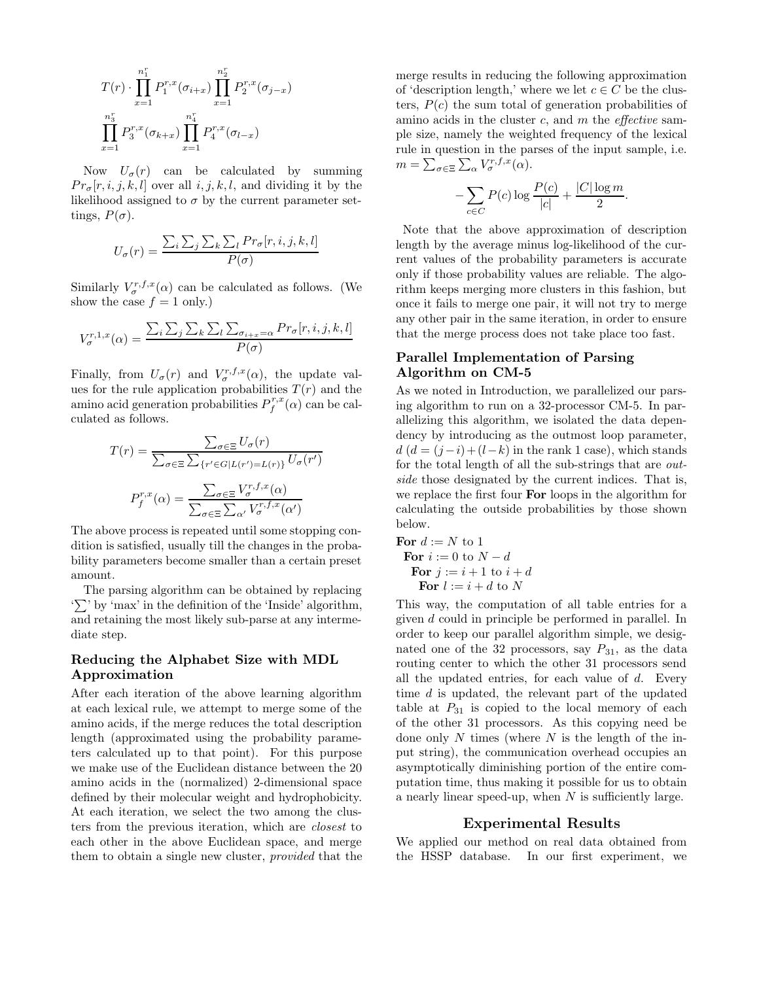$$
T(r) \cdot \prod_{x=1}^{n_1^r} P_1^{r,x}(\sigma_{i+x}) \prod_{x=1}^{n_2^r} P_2^{r,x}(\sigma_{j-x})
$$
  

$$
\prod_{x=1}^{n_3^r} P_3^{r,x}(\sigma_{k+x}) \prod_{x=1}^{n_4^r} P_4^{r,x}(\sigma_{l-x})
$$

Now  $U_{\sigma}(r)$  can be calculated by summing  $Pr_{\sigma}[r, i, j, k, l]$  over all i, j, k, l, and dividing it by the likelihood assigned to  $\sigma$  by the current parameter settings,  $P(\sigma)$ .

$$
U_{\sigma}(r) = \frac{\sum_{i} \sum_{j} \sum_{k} \sum_{l} Pr_{\sigma}[r, i, j, k, l]}{P(\sigma)}
$$

Similarly  $V_{\sigma}^{r,f,x}(\alpha)$  can be calculated as follows. (We show the case  $f = 1$  only.)

$$
V_{\sigma}^{r,1,x}(\alpha) = \frac{\sum_{i} \sum_{j} \sum_{k} \sum_{l} \sum_{\sigma_{i+x}=\alpha} Pr_{\sigma}[r,i,j,k,l]}{P(\sigma)}
$$

Finally, from  $U_{\sigma}(r)$  and  $V_{\sigma}^{r,f,x}(\alpha)$ , the update values for the rule application probabilities  $T(r)$  and the amino acid generation probabilities  $P_f^{r,x}(\alpha)$  can be calculated as follows.

$$
T(r) = \frac{\sum_{\sigma \in \Xi} U_{\sigma}(r)}{\sum_{\sigma \in \Xi} \sum_{\{r' \in G | L(r') = L(r)\}} U_{\sigma}(r')}
$$

$$
P_f^{r,x}(\alpha) = \frac{\sum_{\sigma \in \Xi} V_{\sigma}^{r,f,x}(\alpha)}{\sum_{\sigma \in \Xi} \sum_{\alpha'} V_{\sigma}^{r,f,x}(\alpha')}
$$

The above process is repeated until some stopping condition is satisfied, usually till the changes in the probability parameters become smaller than a certain preset amount.

The parsing algorithm can be obtained by replacing  $\sum$  by 'max' in the definition of the 'Inside' algorithm, and retaining the most likely sub-parse at any intermediate step.

#### Reducing the Alphabet Size with MDL Approximation

After each iteration of the above learning algorithm at each lexical rule, we attempt to merge some of the amino acids, if the merge reduces the total description length (approximated using the probability parameters calculated up to that point). For this purpose we make use of the Euclidean distance between the 20 amino acids in the (normalized) 2-dimensional space defined by their molecular weight and hydrophobicity. At each iteration, we select the two among the clusters from the previous iteration, which are closest to each other in the above Euclidean space, and merge them to obtain a single new cluster, provided that the merge results in reducing the following approximation of 'description length,' where we let  $c \in C$  be the clusters,  $P(c)$  the sum total of generation probabilities of amino acids in the cluster c, and  $m$  the *effective* sample size, namely the weighted frequency of the lexical rule in question in the parses of the input sample, i.e.  $m = \sum_{\sigma \in \Xi} \sum_{\alpha} V_{\sigma}^{r,f,x}(\alpha).$ 

$$
-\sum_{c \in C} P(c) \log \frac{P(c)}{|c|} + \frac{|C| \log m}{2}.
$$

Note that the above approximation of description length by the average minus log-likelihood of the current values of the probability parameters is accurate only if those probability values are reliable. The algorithm keeps merging more clusters in this fashion, but once it fails to merge one pair, it will not try to merge any other pair in the same iteration, in order to ensure that the merge process does not take place too fast.

#### Parallel Implementation of Parsing Algorithm on CM-5

As we noted in Introduction, we parallelized our parsing algorithm to run on a 32-processor CM-5. In parallelizing this algorithm, we isolated the data dependency by introducing as the outmost loop parameter,  $d (d = (j - i) + (l - k)$  in the rank 1 case), which stands for the total length of all the sub-strings that are outside those designated by the current indices. That is, we replace the first four For loops in the algorithm for calculating the outside probabilities by those shown below.

For  $d := N$  to 1 For  $i := 0$  to  $N - d$ For  $j := i + 1$  to  $i + d$ For  $l := i + d$  to N

This way, the computation of all table entries for a given d could in principle be performed in parallel. In order to keep our parallel algorithm simple, we designated one of the 32 processors, say  $P_{31}$ , as the data routing center to which the other 31 processors send all the updated entries, for each value of  $d$ . Every time d is updated, the relevant part of the updated table at  $P_{31}$  is copied to the local memory of each of the other 31 processors. As this copying need be done only N times (where  $N$  is the length of the input string), the communication overhead occupies an asymptotically diminishing portion of the entire computation time, thus making it possible for us to obtain a nearly linear speed-up, when  $N$  is sufficiently large.

#### Experimental Results

We applied our method on real data obtained from the HSSP database. In our first experiment, we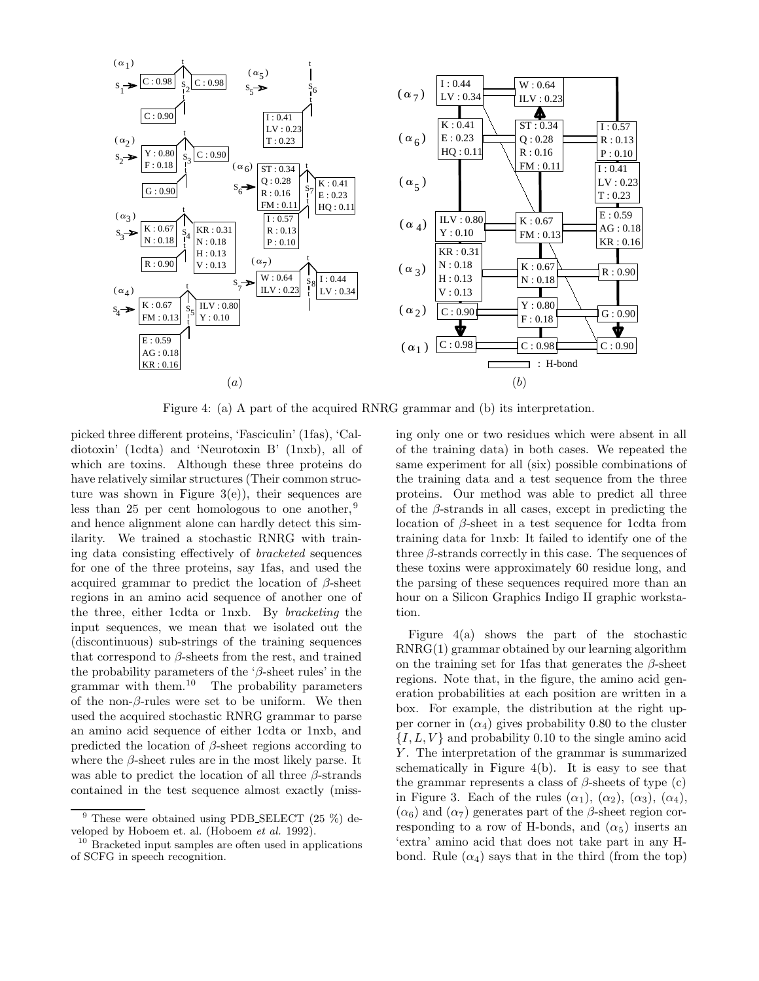

Figure 4: (a) A part of the acquired RNRG grammar and (b) its interpretation.

picked three different proteins, 'Fasciculin' (1fas), 'Caldiotoxin' (1cdta) and 'Neurotoxin B' (1nxb), all of which are toxins. Although these three proteins do have relatively similar structures (Their common structure was shown in Figure  $3(e)$ , their sequences are less than 25 per cent homologous to one another,  $9$ and hence alignment alone can hardly detect this similarity. We trained a stochastic RNRG with training data consisting effectively of bracketed sequences for one of the three proteins, say 1fas, and used the acquired grammar to predict the location of  $\beta$ -sheet regions in an amino acid sequence of another one of the three, either 1cdta or 1nxb. By bracketing the input sequences, we mean that we isolated out the (discontinuous) sub-strings of the training sequences that correspond to  $\beta$ -sheets from the rest, and trained the probability parameters of the ' $\beta$ -sheet rules' in the grammar with them.<sup>10</sup> The probability parameters of the non- $\beta$ -rules were set to be uniform. We then used the acquired stochastic RNRG grammar to parse an amino acid sequence of either 1cdta or 1nxb, and predicted the location of  $\beta$ -sheet regions according to where the  $\beta$ -sheet rules are in the most likely parse. It was able to predict the location of all three  $\beta$ -strands contained in the test sequence almost exactly (miss-

ing only one or two residues which were absent in all of the training data) in both cases. We repeated the same experiment for all (six) possible combinations of the training data and a test sequence from the three proteins. Our method was able to predict all three of the  $\beta$ -strands in all cases, except in predicting the location of  $\beta$ -sheet in a test sequence for 1cdta from training data for 1nxb: It failed to identify one of the three  $\beta$ -strands correctly in this case. The sequences of these toxins were approximately 60 residue long, and the parsing of these sequences required more than an hour on a Silicon Graphics Indigo II graphic workstation.

Figure 4(a) shows the part of the stochastic RNRG(1) grammar obtained by our learning algorithm on the training set for 1fas that generates the  $\beta$ -sheet regions. Note that, in the figure, the amino acid generation probabilities at each position are written in a box. For example, the distribution at the right upper corner in  $(\alpha_4)$  gives probability 0.80 to the cluster  $\{I, L, V\}$  and probability 0.10 to the single amino acid Y. The interpretation of the grammar is summarized schematically in Figure  $4(b)$ . It is easy to see that the grammar represents a class of  $\beta$ -sheets of type (c) in Figure 3. Each of the rules  $(\alpha_1)$ ,  $(\alpha_2)$ ,  $(\alpha_3)$ ,  $(\alpha_4)$ ,  $(\alpha_6)$  and  $(\alpha_7)$  generates part of the  $\beta$ -sheet region corresponding to a row of H-bonds, and  $(\alpha_5)$  inserts an 'extra' amino acid that does not take part in any Hbond. Rule  $(\alpha_4)$  says that in the third (from the top)

These were obtained using PDB SELECT (25 %) developed by Hoboem et. al. (Hoboem et al. 1992).

<sup>10</sup> Bracketed input samples are often used in applications of SCFG in speech recognition.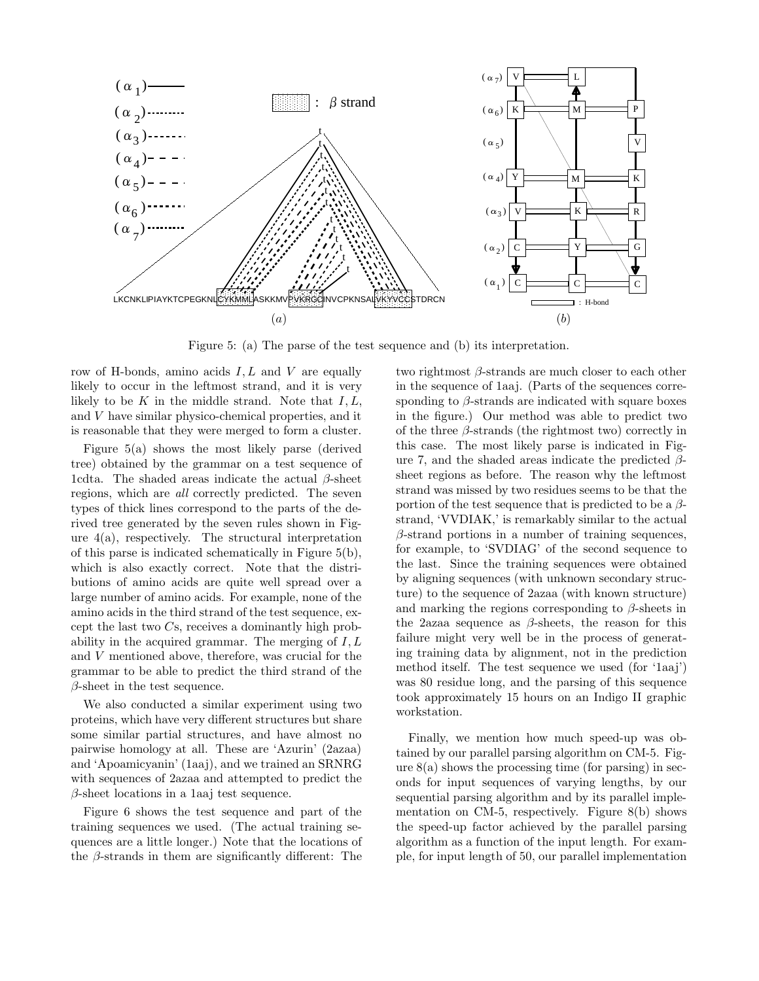

Figure 5: (a) The parse of the test sequence and (b) its interpretation.

row of H-bonds, amino acids  $I, L$  and  $V$  are equally likely to occur in the leftmost strand, and it is very likely to be  $K$  in the middle strand. Note that  $I, L$ , and V have similar physico-chemical properties, and it is reasonable that they were merged to form a cluster.

Figure 5(a) shows the most likely parse (derived tree) obtained by the grammar on a test sequence of 1cdta. The shaded areas indicate the actual  $\beta$ -sheet regions, which are all correctly predicted. The seven types of thick lines correspond to the parts of the derived tree generated by the seven rules shown in Figure 4(a), respectively. The structural interpretation of this parse is indicated schematically in Figure 5(b), which is also exactly correct. Note that the distributions of amino acids are quite well spread over a large number of amino acids. For example, none of the amino acids in the third strand of the test sequence, except the last two Cs, receives a dominantly high probability in the acquired grammar. The merging of  $I, L$ and V mentioned above, therefore, was crucial for the grammar to be able to predict the third strand of the  $\beta$ -sheet in the test sequence.

We also conducted a similar experiment using two proteins, which have very different structures but share some similar partial structures, and have almost no pairwise homology at all. These are 'Azurin' (2azaa) and 'Apoamicyanin' (1aaj), and we trained an SRNRG with sequences of 2azaa and attempted to predict the  $\beta$ -sheet locations in a 1aaj test sequence.

Figure 6 shows the test sequence and part of the training sequences we used. (The actual training sequences are a little longer.) Note that the locations of the β-strands in them are significantly different: The

two rightmost  $\beta$ -strands are much closer to each other in the sequence of 1aaj. (Parts of the sequences corresponding to  $\beta$ -strands are indicated with square boxes in the figure.) Our method was able to predict two of the three  $\beta$ -strands (the rightmost two) correctly in this case. The most likely parse is indicated in Figure 7, and the shaded areas indicate the predicted  $\beta$ sheet regions as before. The reason why the leftmost strand was missed by two residues seems to be that the portion of the test sequence that is predicted to be a  $\beta$ strand, 'VVDIAK,' is remarkably similar to the actual  $\beta$ -strand portions in a number of training sequences, for example, to 'SVDIAG' of the second sequence to the last. Since the training sequences were obtained by aligning sequences (with unknown secondary structure) to the sequence of 2azaa (with known structure) and marking the regions corresponding to  $\beta$ -sheets in the 2azaa sequence as  $\beta$ -sheets, the reason for this failure might very well be in the process of generating training data by alignment, not in the prediction method itself. The test sequence we used (for '1aaj') was 80 residue long, and the parsing of this sequence took approximately 15 hours on an Indigo II graphic workstation.

Finally, we mention how much speed-up was obtained by our parallel parsing algorithm on CM-5. Figure  $8(a)$  shows the processing time (for parsing) in seconds for input sequences of varying lengths, by our sequential parsing algorithm and by its parallel implementation on CM-5, respectively. Figure 8(b) shows the speed-up factor achieved by the parallel parsing algorithm as a function of the input length. For example, for input length of 50, our parallel implementation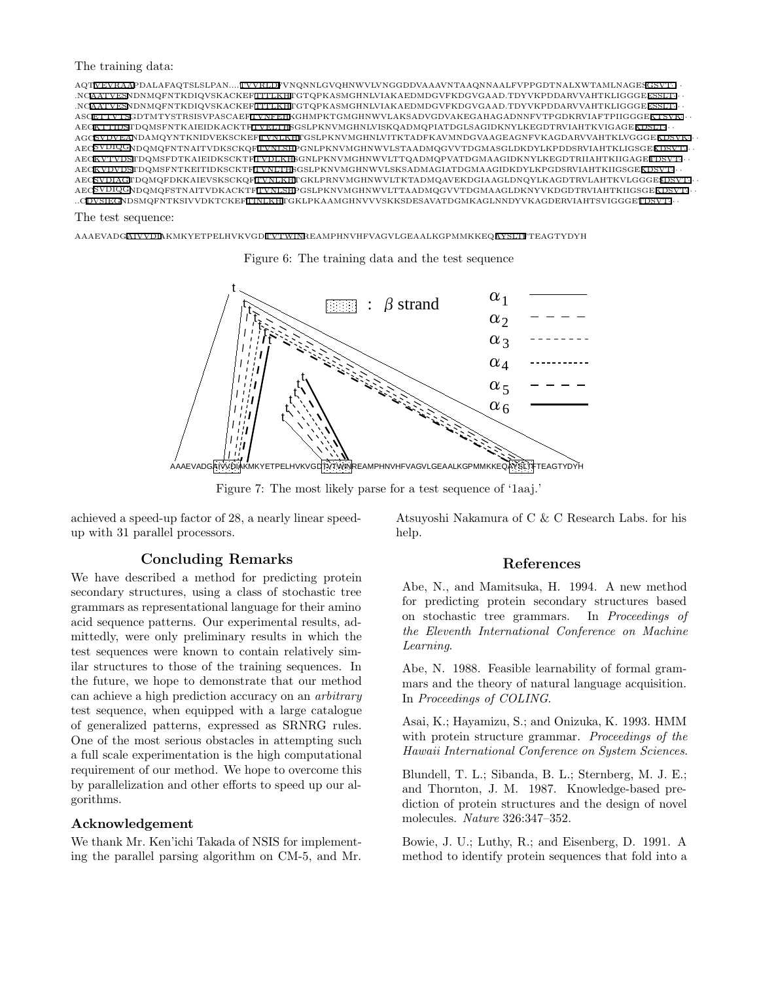The training data:



The test sequence:

AAAEVADGAIVVDIAKMKYETPELHVKVGDITVTWINREAMPHNVHFVAGVLGEAALKGPMMKKEQAYSLTFTEAGTYDYH

Figure 6: The training data and the test sequence



Figure 7: The most likely parse for a test sequence of '1aaj.'

achieved a speed-up factor of 28, a nearly linear speedup with 31 parallel processors.

### Concluding Remarks

We have described a method for predicting protein secondary structures, using a class of stochastic tree grammars as representational language for their amino acid sequence patterns. Our experimental results, admittedly, were only preliminary results in which the test sequences were known to contain relatively similar structures to those of the training sequences. In the future, we hope to demonstrate that our method can achieve a high prediction accuracy on an arbitrary test sequence, when equipped with a large catalogue of generalized patterns, expressed as SRNRG rules. One of the most serious obstacles in attempting such a full scale experimentation is the high computational requirement of our method. We hope to overcome this by parallelization and other efforts to speed up our algorithms.

#### Acknowledgement

We thank Mr. Ken'ichi Takada of NSIS for implementing the parallel parsing algorithm on CM-5, and Mr. Atsuyoshi Nakamura of C & C Research Labs. for his help.

#### References

Abe, N., and Mamitsuka, H. 1994. A new method for predicting protein secondary structures based on stochastic tree grammars. In Proceedings of the Eleventh International Conference on Machine Learning.

Abe, N. 1988. Feasible learnability of formal grammars and the theory of natural language acquisition. In Proceedings of COLING.

Asai, K.; Hayamizu, S.; and Onizuka, K. 1993. HMM with protein structure grammar. Proceedings of the Hawaii International Conference on System Sciences.

Blundell, T. L.; Sibanda, B. L.; Sternberg, M. J. E.; and Thornton, J. M. 1987. Knowledge-based prediction of protein structures and the design of novel molecules. Nature 326:347–352.

Bowie, J. U.; Luthy, R.; and Eisenberg, D. 1991. A method to identify protein sequences that fold into a